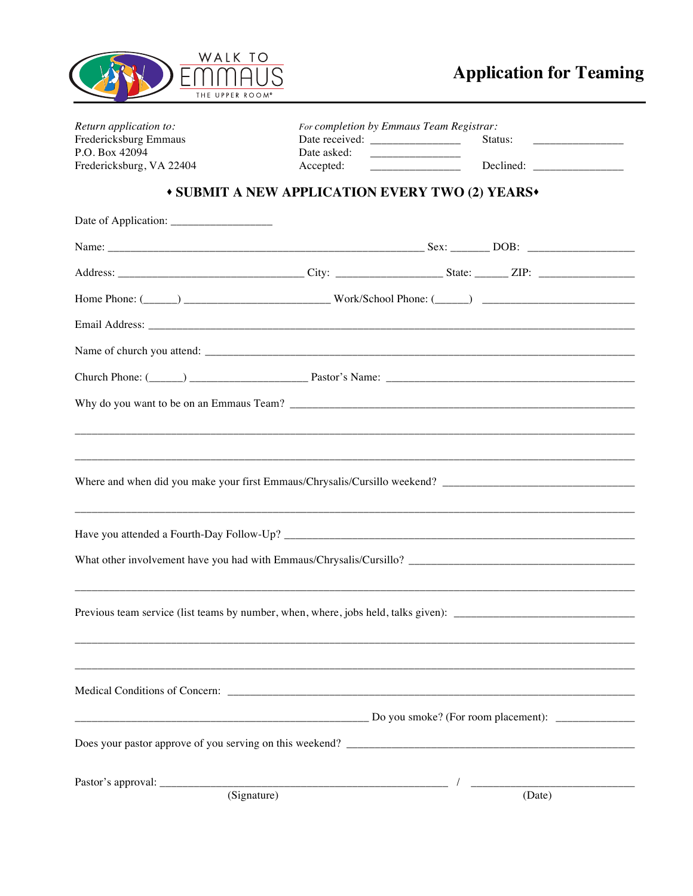

| Return application to:<br>Fredericksburg Emmaus |             | For completion by Emmaus Team Registrar:<br>Status:<br><u> Listen de la componenta</u> |  |
|-------------------------------------------------|-------------|----------------------------------------------------------------------------------------|--|
| P.O. Box 42094<br>Fredericksburg, VA 22404      | Date asked: |                                                                                        |  |
|                                                 | Accepted:   |                                                                                        |  |
|                                                 |             | <b>* SUBMIT A NEW APPLICATION EVERY TWO (2) YEARS*</b>                                 |  |
|                                                 |             |                                                                                        |  |
|                                                 |             |                                                                                        |  |
|                                                 |             |                                                                                        |  |
|                                                 |             |                                                                                        |  |
|                                                 |             |                                                                                        |  |
|                                                 |             |                                                                                        |  |
|                                                 |             |                                                                                        |  |
|                                                 |             |                                                                                        |  |
|                                                 |             |                                                                                        |  |
|                                                 |             |                                                                                        |  |
|                                                 |             |                                                                                        |  |
|                                                 |             |                                                                                        |  |
|                                                 |             |                                                                                        |  |
|                                                 |             |                                                                                        |  |
|                                                 |             |                                                                                        |  |
|                                                 |             |                                                                                        |  |
|                                                 |             |                                                                                        |  |
|                                                 |             |                                                                                        |  |
|                                                 |             |                                                                                        |  |
|                                                 |             |                                                                                        |  |
|                                                 |             | $\Box$ Do you smoke? (For room placement): $\Box$                                      |  |
|                                                 |             |                                                                                        |  |
|                                                 |             |                                                                                        |  |
|                                                 | (Signature) | (Date)                                                                                 |  |